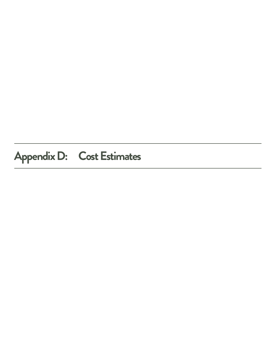# **Appendix D: Cost Estimates**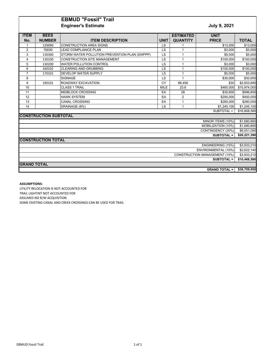# **EBMUD "Fossil" Trail Engineer's Estimate** *July 9, 2021*

| <b>ITEM</b>                          | <b>BEES</b>                  |                                               |             | <b>ESTIMATED</b> | <b>UNIT</b>          |              |
|--------------------------------------|------------------------------|-----------------------------------------------|-------------|------------------|----------------------|--------------|
| No.                                  | <b>NUMBER</b>                | <b>ITEM DESCRIPTION</b>                       | <b>UNIT</b> | <b>QUANTITY</b>  | <b>PRICE</b>         | <b>TOTAL</b> |
| $\mathbf{1}$                         | 120090                       | <b>CONSTRUCTION AREA SIGNS</b>                | LS          | 1                | \$13,000             | \$13,000     |
| 2                                    | 70030                        | <b>LEAD COMPLIANCE PLAN</b>                   | LS          | 1                | \$3.000              | \$3,000      |
| 3                                    | 130300                       | STORM WATER POLLUTION PREVENTION PLAN (SWPPP) | LS          | 1                | \$5,000              | \$5,000      |
| 4                                    | 130100                       | <b>CONSTRUCTION SITE MANAGEMENT</b>           | LS          | 1                | \$100,000            | \$100,000    |
| 5                                    | 130200                       | <b>WATER POLLUTION CONTROL</b>                | LS          | 1                | \$3,000              | \$3,000      |
| 6                                    | 160102                       | <b>CLEARING AND GRUBBING</b>                  | LS          | 1                | \$100,000            | \$100,000    |
| $\overline{7}$                       | 170101                       | <b>DEVELOP WATER SUPPLY</b>                   | LS          | 1                | \$5,000              | \$5,000      |
| 8                                    |                              | <b>SIGNAGE</b>                                | LS          | $\overline{1}$   | \$30,000             | \$30,000     |
| 9                                    | 190101                       | ROADWAY EXCAVATION                            | CY          | 88,456           | \$30                 | \$2,653,680  |
| 10                                   |                              | <b>CLASS 1 TRAIL</b>                          | <b>MILE</b> | 23.6             | \$465,000            | \$10,974,000 |
| 11                                   |                              | <b>MIDBLOCK CROSSING</b>                      | EA          | 28               | \$35,600             | \$996,800    |
| 12                                   |                              | <b>HAWK SYSTEM</b>                            | EA          | $\overline{2}$   | \$200,000            | \$400,000    |
| 13                                   |                              | <b>CANAL CROSSING</b>                         | EA          | 1                | \$280,000            | \$280,000    |
| 14                                   |                              | DRAINAGE (8%)                                 | LS          | $\mathbf{1}$     | \$1,245,100          | \$1,245,100  |
| SUBTOTAL =                           |                              |                                               |             |                  |                      |              |
|                                      | <b>CONSTRUCTION SUBTOTAL</b> |                                               |             |                  |                      |              |
|                                      |                              |                                               |             |                  | MINOR ITEMS (10%)    | \$1,680,860  |
|                                      |                              |                                               |             |                  | MOBILIZATION (10%)   | \$1,680,860  |
|                                      |                              |                                               |             |                  | CONTINGENCY (30%)    | \$6,051,090  |
|                                      |                              |                                               |             |                  | <b>SUBTOTAL =</b>    | \$26,221,390 |
|                                      | <b>CONSTRUCTION TOTAL</b>    |                                               |             |                  |                      |              |
|                                      |                              |                                               |             |                  | ENGINEERING (15%)    | \$3,933,210  |
| ENVIRONMENTAL (10%)                  |                              |                                               |             |                  |                      | \$2,622,140  |
| <b>CONSTRUCTION MANAGEMENT (15%)</b> |                              |                                               |             |                  |                      | \$3,933,210  |
| <b>SUBTOTAL =</b>                    |                              |                                               |             |                  |                      | \$10,488,560 |
| <b>GRAND TOTAL</b>                   |                              |                                               |             |                  |                      |              |
|                                      |                              |                                               |             |                  |                      |              |
|                                      |                              |                                               |             |                  | <b>GRAND TOTAL =</b> | \$36,709,950 |

## **ASSUMPTIONS:**

UTILITY RELOCATION IS NOT ACCOUNTED FOR TRAIL LIGHTINT NOT ACCOUNTED FOR ASSUMES NO R/W ACQUISITION SOME EXISTING CANAL AND CREEK CROSSINGS CAN BE USED FOR TRAIL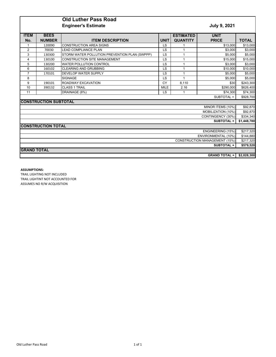# **Old Luther Pass Road Engineer's Estimate** *July 9, 2021*

| <b>ITEM</b>                          | <b>BEES</b>                  |                                               |             | <b>ESTIMATED</b> | <b>UNIT</b>        |              |
|--------------------------------------|------------------------------|-----------------------------------------------|-------------|------------------|--------------------|--------------|
|                                      |                              |                                               |             |                  |                    |              |
| No.                                  | <b>NUMBER</b>                | <b>ITEM DESCRIPTION</b>                       | <b>UNIT</b> | <b>QUANTITY</b>  | <b>PRICE</b>       | <b>TOTAL</b> |
|                                      | 120090                       | <b>CONSTRUCTION AREA SIGNS</b>                | LS          |                  | \$13,000           | \$13,000     |
| 2                                    | 70030                        | <b>LEAD COMPLIANCE PLAN</b>                   | LS          |                  | \$3,000            | \$3,000      |
| 3                                    | 130300                       | STORM WATER POLLUTION PREVENTION PLAN (SWPPP) | LS          | 1                | \$5,000            | \$5,000      |
| 4                                    | 130100                       | <b>CONSTRUCTION SITE MANAGEMENT</b>           | LS          | 1                | \$15,000           | \$15,000     |
| 5                                    | 130200                       | <b>WATER POLLUTION CONTROL</b>                | LS          |                  | \$3,000            | \$3,000      |
| 6                                    | 160102                       | <b>CLEARING AND GRUBBING</b>                  | LS          |                  | \$10,000           | \$10,000     |
| $\overline{7}$                       | 170101                       | <b>DEVELOP WATER SUPPLY</b>                   | LS          |                  | \$5,000            | \$5,000      |
| 8                                    |                              | <b>SIGNAGE</b>                                | LS          | 1                | \$5,000            | \$5,000      |
| 9                                    | 190101                       | ROADWAY EXCAVATION                            | CY          | 8,110            | \$30               | \$243,300    |
| 10                                   | 390132                       | <b>CLASS 1 TRAIL</b>                          | <b>MILE</b> | 2.16             | \$290,000          | \$626,400    |
| 11                                   |                              | DRAINAGE (8%)                                 | LS          |                  | \$74,300           | \$74,300     |
| SUBTOTAL =                           |                              |                                               |             |                  |                    |              |
|                                      | <b>CONSTRUCTION SUBTOTAL</b> |                                               |             |                  |                    |              |
|                                      |                              |                                               |             |                  | MINOR ITEMS (10%)  | \$92,870     |
|                                      |                              |                                               |             |                  | MOBILIZATION (10%) | \$92,870     |
|                                      |                              |                                               |             |                  | CONTINGENCY (30%)  | \$334,340    |
|                                      |                              |                                               |             |                  | <b>SUBTOTAL =</b>  | \$1,448,780  |
|                                      | <b>CONSTRUCTION TOTAL</b>    |                                               |             |                  |                    |              |
|                                      | ENGINEERING (15%)            |                                               |             |                  |                    |              |
| ENVIRONMENTAL (10%)                  |                              |                                               |             |                  |                    | \$144,880    |
| <b>CONSTRUCTION MANAGEMENT (15%)</b> |                              |                                               |             |                  |                    | \$217,320    |
| <b>SUBTOTAL =</b>                    |                              |                                               |             |                  | \$579,520          |              |
| <b>GRAND TOTAL</b>                   |                              |                                               |             |                  |                    |              |
| <b>GRAND TOTAL =</b>                 |                              |                                               |             |                  | \$2,028,300        |              |

### **ASSUMPTIONS:**

TRAIL LIGHTING NOT INCLUDED TRAIL LIGHTINT NOT ACCOUNTED FOR ASSUMES NO R/W ACQUISITION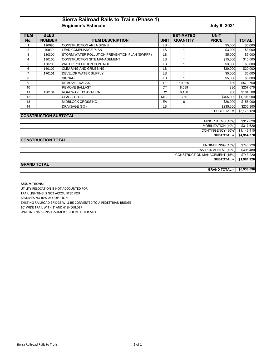# **Sierra Railroad Rails to Trails (Phase 1) Engineer's Estimate** *July 9, 2021*

| <b>ITEM</b>                          | <b>BEES</b>                  |                                               |             | <b>ESTIMATED</b> | <b>UNIT</b>        |              |
|--------------------------------------|------------------------------|-----------------------------------------------|-------------|------------------|--------------------|--------------|
| No.                                  | <b>NUMBER</b>                | <b>ITEM DESCRIPTION</b>                       | <b>UNIT</b> | <b>QUANTITY</b>  | <b>PRICE</b>       | <b>TOTAL</b> |
|                                      | 120090                       | <b>CONSTRUCTION AREA SIGNS</b>                | <b>LS</b>   |                  | \$5.000            | \$5,000      |
| $\overline{2}$                       | 70030                        | <b>LEAD COMPLIANCE PLAN</b>                   | LS          |                  | \$3.000            | \$3,000      |
| 3                                    | 130300                       | STORM WATER POLLUTION PREVENTION PLAN (SWPPP) | <b>LS</b>   | 1                | \$5,000            | \$5,000      |
| $\overline{\mathbf{4}}$              | 130100                       | <b>CONSTRUCTION SITE MANAGEMENT</b>           | <b>LS</b>   | 1                | \$15,000           | \$15,000     |
| 5                                    | 130200                       | <b>WATER POLLUTION CONTROL</b>                | <b>LS</b>   |                  | \$3,000            | \$3,000      |
| 6                                    | 160102                       | <b>CLEARING AND GRUBBING</b>                  | LS          | 1                | \$20,000           | \$20,000     |
| $\overline{7}$                       | 170101                       | <b>DEVELOP WATER SUPPLY</b>                   | <b>LS</b>   | 1                | \$5,000            | \$5,000      |
| 8                                    |                              | <b>SIGNAGE</b>                                | LS          | $\overline{1}$   | \$5,000            | \$5,000      |
| 9                                    |                              | <b>REMOVE TRACKS</b>                          | LF          | 19,325           | \$30               | \$579,750    |
| 10                                   |                              | <b>REMOVE BALLAST</b>                         | CY          | 8,589            | \$30               | \$257,670    |
| 11                                   | 190101                       | ROADWAY EXCAVATION                            | CY          | 6.150            | \$30               | \$184,500    |
| 12                                   |                              | <b>CLASS 1 TRAIL</b>                          | <b>MILE</b> | 3.66             | \$465,000          | \$1,701,900  |
| 13                                   |                              | MIDBLOCK CROSSING                             | EA          | 6                | \$26,000           | \$156,000    |
| 14                                   |                              | DRAINAGE (8%)                                 | LS          |                  | \$235,300          | \$235,300    |
|                                      |                              |                                               |             |                  | SUBTOTAL =         | \$3,176,120  |
|                                      | <b>CONSTRUCTION SUBTOTAL</b> |                                               |             |                  |                    |              |
|                                      |                              |                                               |             |                  | MINOR ITEMS (10%)  | \$317,620    |
|                                      |                              |                                               |             |                  | MOBILIZATION (10%) | \$317,620    |
|                                      |                              |                                               |             |                  | CONTINGENCY (30%)  | \$1,143,410  |
|                                      |                              |                                               |             |                  | <b>SUBTOTAL =</b>  | \$4,954,770  |
|                                      | <b>CONSTRUCTION TOTAL</b>    |                                               |             |                  |                    |              |
|                                      |                              |                                               |             |                  | ENGINEERING (15%)  | \$743,220    |
| ENVIRONMENTAL (10%)                  |                              |                                               |             |                  |                    | \$495,480    |
| <b>CONSTRUCTION MANAGEMENT (15%)</b> |                              |                                               |             |                  |                    | \$743,220    |
|                                      |                              |                                               |             |                  | <b>SUBTOTAL =</b>  | \$1,981,920  |
| <b>GRAND TOTAL</b>                   |                              |                                               |             |                  |                    |              |
| <b>GRAND TOTAL =</b>                 |                              |                                               |             |                  | \$6,936,690        |              |

## **ASSUMPTIONS:**

UTILITY RELOCATION IS NOT ACCOUNTED FOR TRAIL LIGHTING IS NOT ACCOUNTED FOR ASSUMES NO R/W ACQUISITION EXISTING RAILROAD BRIDGE WILL BE CONVERTED TO A PEDESTRIAN BRIDGE 10' WIDE TRAIL WITH 2' AND 6' SHOULDER WAYFINDING SIGNS ASSUMED 1 PER QUARTER MILE.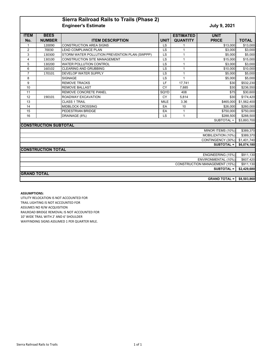# **Sierra Railroad Rails to Trails (Phase 2) Engineer's Estimate** *July 9, 2021*

| <b>ITEM</b>                          | <b>BEES</b>                  |                                               |             | <b>ESTIMATED</b> | <b>UNIT</b>          |              |
|--------------------------------------|------------------------------|-----------------------------------------------|-------------|------------------|----------------------|--------------|
| No.                                  | <b>NUMBER</b>                | <b>ITEM DESCRIPTION</b>                       | <b>UNIT</b> | <b>QUANTITY</b>  | <b>PRICE</b>         | <b>TOTAL</b> |
| $\mathbf{1}$                         | 120090                       | <b>CONSTRUCTION AREA SIGNS</b>                | <b>LS</b>   |                  | \$13,000             | \$13,000     |
| 2                                    | 70030                        | <b>LEAD COMPLIANCE PLAN</b>                   | <b>LS</b>   |                  | \$3,000              | \$3,000      |
| 3                                    | 130300                       | STORM WATER POLLUTION PREVENTION PLAN (SWPPP) | <b>LS</b>   | 1                | \$5,000              | \$5,000      |
| $\overline{4}$                       | 130100                       | <b>CONSTRUCTION SITE MANAGEMENT</b>           | LS          |                  | \$15,000             | \$15,000     |
| $\overline{5}$                       | 130200                       | <b>WATER POLLUTION CONTROL</b>                | LS          |                  | \$3,000              | \$3,000      |
| 6                                    | 160102                       | <b>CLEARING AND GRUBBING</b>                  | LS          | 1                | \$10,000             | \$10,000     |
| $\overline{7}$                       | 170101                       | DEVELOP WATER SUPPLY                          | LS          | 1                | \$5,000              | \$5,000      |
| 8                                    |                              | <b>SIGNAGE</b>                                | LS          |                  | \$5,000              | \$5,000      |
| 9                                    |                              | <b>REMOVE TRACKS</b>                          | LF          | 17,741           | \$30                 | \$532,230    |
| 10                                   |                              | <b>REMOVE BALLAST</b>                         | CY          | 7,885            | \$30                 | \$236,550    |
| 11                                   |                              | REMOVE CONCRETE PANEL                         | SQYD        | 408              | \$75                 | \$30,600     |
| 12                                   | 190101                       | ROADWAY EXCAVATION                            | CY          | 5.814            | \$30                 | \$174,420    |
| 13                                   |                              | <b>CLASS 1 TRAIL</b>                          | <b>MILE</b> | 3.36             | \$465,000            | \$1,562,400  |
| 14                                   |                              | <b>MIDBLOCK CROSSING</b>                      | EA          | 10               | \$26,000             | \$260,000    |
| 15                                   |                              | PEDESTRIAN BRIDGE                             | EA          | 1                | \$750,000            | \$750,000    |
| 16                                   |                              | DRAINAGE (8%)                                 | <b>LS</b>   | $\mathbf{1}$     | \$288,500            | \$288,500    |
|                                      |                              |                                               |             |                  | SUBTOTAL =           | \$3,893,700  |
|                                      | <b>CONSTRUCTION SUBTOTAL</b> |                                               |             |                  |                      |              |
|                                      |                              |                                               |             |                  | MINOR ITEMS (10%)    | \$389,370    |
|                                      |                              |                                               |             |                  | MOBILIZATION (10%)   | \$389,370    |
|                                      |                              |                                               |             |                  | CONTINGENCY (30%)    | \$1,401,740  |
|                                      |                              |                                               |             |                  | <b>SUBTOTAL =</b>    | \$6,074,180  |
|                                      | <b>CONSTRUCTION TOTAL</b>    |                                               |             |                  |                      |              |
|                                      |                              |                                               |             |                  | ENGINEERING (15%)    | \$911,130    |
| ENVIRONMENTAL (10%)                  |                              |                                               |             |                  |                      | \$607,420    |
| <b>CONSTRUCTION MANAGEMENT (15%)</b> |                              |                                               |             |                  |                      | \$911,130    |
| <b>SUBTOTAL =</b>                    |                              |                                               |             |                  |                      | \$2,429,680  |
| <b>GRAND TOTAL</b>                   |                              |                                               |             |                  |                      |              |
|                                      |                              |                                               |             |                  | <b>GRAND TOTAL =</b> | \$8,503,860  |

**ASSUMPTIONS:**

UTILITY RELOCATION IS NOT ACCOUNTED FOR TRAIL LIGHTING IS NOT ACCOUNTED FOR ASSUMES NO R/W ACQUISITION RAILROAD BRIDGE REMOVAL IS NOT ACCOUNTED FOR 10' WIDE TRAIL WITH 2' AND 6' SHOULDER WAYFINDING SIGNS ASSUMED 1 PER QUARTER MILE.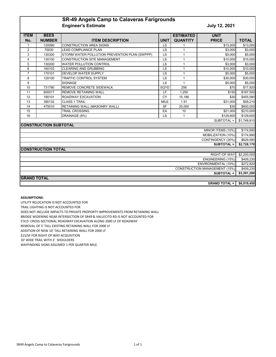# **SR-49 Angels Camp to Calaveras Farigrounds Engineer's Estimate Contract Contract Contract Contract Contract Contract Contract Contract Contract Contract Contract Contract Contract Contract Contract Contract Contract Contract Contract Contract Contract Contract C**

| <b>ITEM</b>             | <b>BEES</b>                  |                                               |             | <b>ESTIMATED</b> | <b>UNIT</b>                          |              |
|-------------------------|------------------------------|-----------------------------------------------|-------------|------------------|--------------------------------------|--------------|
| No.                     | <b>NUMBER</b>                | <b>ITEM DESCRIPTION</b>                       | <b>UNIT</b> | <b>QUANTITY</b>  | <b>PRICE</b>                         | <b>TOTAL</b> |
| $\mathbf{1}$            | 120090                       | <b>CONSTRUCTION AREA SIGNS</b>                | LS          |                  | \$13,000                             | \$13,000     |
| $\overline{2}$          | 70030                        | <b>LEAD COMPLIANCE PLAN</b>                   | LS          |                  | \$3,000                              | \$3,000      |
| 3                       | 130300                       | STORM WATER POLLUTION PREVENTION PLAN (SWPPP) | LS          | 1                | \$5.000                              | \$5,000      |
| $\overline{\mathbf{4}}$ | 130100                       | <b>CONSTRUCTION SITE MANAGEMENT</b>           | LS          | 1                | \$15,000                             | \$15,000     |
| 5                       | 130200                       | <b>WATER POLLUTION CONTROL</b>                | LS          | 1                | \$3,000                              | \$3,000      |
| 6                       | 160102                       | <b>CLEARING AND GRUBBING</b>                  | LS          | 1                | \$10,000                             | \$10,000     |
| $\overline{7}$          | 170101                       | <b>DEVELOP WATER SUPPLY</b>                   | LS          | 1                | \$5,000                              | \$5,000      |
| 8                       | 120100                       | TRAFFIC CONTROL SYSTEM                        | LS          | 1                | \$30,000                             | \$30,000     |
| 9                       |                              | <b>SIGNAGE</b>                                | LS          | 1                | \$5,000                              | \$5,000      |
| 10                      | 731780                       | REMOVE CONCRETE SIDEWALK                      | SQYD        | 256              | \$70                                 | \$17,920     |
| 11                      | 600017                       | <b>REMOVE RETAINING WALL</b>                  | LF          | 1,250            | \$150                                | \$187,500    |
| 12                      | 190101                       | ROADWAY EXCAVATION                            | CY          | 15,186           | \$30                                 | \$455,580    |
| 13                      | 390132                       | <b>CLASS 1 TRAIL</b>                          | <b>MILE</b> | 1.91             | \$31,000                             | \$59,210     |
| 14                      | 475010                       | RETAINING WALL (MASONRY WALL)                 | <b>SF</b>   | 20,000           | \$30                                 | \$600,000    |
| 15                      |                              | <b>TRAIL CROSSING</b>                         | EA          | 10               | \$21,000                             | \$210,000    |
| 16                      |                              | DRAINAGE (8%)                                 | LS          |                  | \$129,600                            | \$129,600    |
| SUBTOTAL =              |                              |                                               |             |                  |                                      |              |
|                         | <b>CONSTRUCTION SUBTOTAL</b> |                                               |             |                  |                                      |              |
|                         |                              |                                               |             |                  | MINOR ITEMS (10%)                    | \$174,890    |
|                         |                              |                                               |             |                  | MOBILIZATION (10%)                   | \$174,890    |
|                         |                              |                                               |             |                  | CONTINGENCY (30%)                    | \$629,580    |
|                         |                              |                                               |             |                  | SUBTOTAL =                           | \$2,728,170  |
|                         | <b>CONSTRUCTION TOTAL</b>    |                                               |             |                  |                                      |              |
|                         |                              |                                               |             |                  | RIGHT-OF-WAY                         | \$2,200,000  |
| ENGINEERING (15%)       |                              |                                               |             |                  |                                      | \$409,230    |
|                         |                              |                                               |             |                  | ENVIRONMENTAL (10%)                  | \$272,820    |
|                         |                              |                                               |             |                  | <b>CONSTRUCTION MANAGEMENT (15%)</b> | \$409,230    |
|                         |                              |                                               |             |                  | <b>SUBTOTAL =</b>                    | \$3,291,280  |
| <b>GRAND TOTAL</b>      |                              |                                               |             |                  |                                      |              |
|                         |                              |                                               |             |                  | <b>GRAND TOTAL =  </b>               | \$6,019,450  |

#### **ASSUMPTIONS:**

UTILITY RELOCATION IS NOT ACCOUNTED FOR TRAIL LIGHTING IS NOT ACCOUNTED FOR DOES NOT INCLUDE IMPACTS TO PRIVATE PROPORTY IMPROVEMENTS FROM RETAINING WALL BRIDGE WIDENING NEAR INTERSECTION OF SR49 & VALLECITO RD IS NOT ACCOUNTED FOR 5'X15' CROSS-SECTIONAL ROADWAY EXCAVATION ALONG 2000 LF OF ROADWAY REMOVAL OF 5' TALL EXISTING RETAINING WALL FOR 2000 LF ADDITION OF NEW 10' TALL RETAINING WALL FOR 2000 LF 10' WIDE TRAIL WITH 2' SHOULDERS WAYFINDING SIGNS ASSUMED 1 PER QUARTER MILE. \$15/SF FOR RIGHT OF WAY ACQUISITION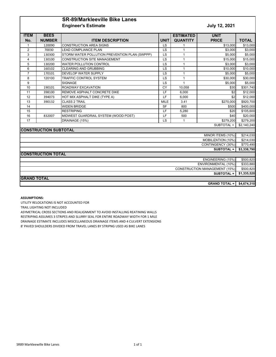## **SR-89/Markleeville Bike Lanes Engineer's Estimate July 12, 2021**

| <b>ITEM</b>                          | <b>BEES</b>                  |                                               |             | <b>ESTIMATED</b> | <b>UNIT</b>        |              |
|--------------------------------------|------------------------------|-----------------------------------------------|-------------|------------------|--------------------|--------------|
| No.                                  | <b>NUMBER</b>                | <b>ITEM DESCRIPTION</b>                       | <b>UNIT</b> | <b>QUANTITY</b>  | <b>PRICE</b>       | <b>TOTAL</b> |
| $\mathbf 1$                          | 120090                       | <b>CONSTRUCTION AREA SIGNS</b>                | <b>LS</b>   |                  | \$13,000           | \$13,000     |
| $\overline{2}$                       | 70030                        | <b>LEAD COMPLIANCE PLAN</b>                   | LS          |                  | \$3,000            | \$3,000      |
| 3                                    | 130300                       | STORM WATER POLLUTION PREVENTION PLAN (SWPPP) | <b>LS</b>   | 1                | \$5.000            | \$5,000      |
| $\overline{4}$                       | 130100                       | <b>CONSTRUCTION SITE MANAGEMENT</b>           | LS          | 1                | \$15,000           | \$15,000     |
| 5                                    | 130200                       | <b>WATER POLLUTION CONTROL</b>                | LS          | 1                | \$3.000            | \$3,000      |
| $6\phantom{a}$                       | 160102                       | <b>CLEARING AND GRUBBING</b>                  | LS          | $\mathbf{1}$     | \$10,000           | \$10,000     |
| $\overline{7}$                       | 170101                       | DEVELOP WATER SUPPLY                          | LS          | $\mathbf{1}$     | \$5.000            | \$5,000      |
| 8                                    | 120100                       | <b>TRAFFIC CONTROL SYSTEM</b>                 | LS          | $\mathbf{1}$     | \$30,000           | \$30,000     |
| 9                                    |                              | <b>SIGNAGE</b>                                | LS          | $\mathbf{1}$     | \$5,000            | \$5,000      |
| 10                                   | 190101                       | ROADWAY EXCAVATION                            | CY          | 10.058           | \$30               | \$301,740    |
| 11                                   | 398100                       | REMOVE ASPHALT CONCRETE DIKE                  | LF          | 6,000            | \$2                | \$12,000     |
| 12                                   | 394073                       | HOT MIX ASPHALT DIKE (TYPE A)                 | LF          | 6,000            | \$2                | \$12,000     |
| 13                                   | 390132                       | <b>CLASS 2 TRAIL</b>                          | <b>MILE</b> | 3.41             | \$270,000          | \$920,700    |
| 14                                   |                              | <b>WIDEN BRIDGE</b>                           | <b>SF</b>   | 800              | \$500              | \$400,000    |
| 15                                   |                              | <b>RESTRIPING</b>                             | LF          | 5,280            | \$20               | \$105,600    |
| 16                                   | 832007                       | MIDWEST GUARDRAIL SYSTEM (WOOD POST)          | LF          | 500              | \$40               | \$20,000     |
| 17                                   |                              | DRAINAGE (15%)                                | LS          |                  | \$279,200          | \$279,200    |
|                                      |                              |                                               |             |                  | SUBTOTAL =         | \$2,140,240  |
|                                      | <b>CONSTRUCTION SUBTOTAL</b> |                                               |             |                  |                    |              |
|                                      |                              |                                               |             |                  | MINOR ITEMS (10%)  | \$214,030    |
|                                      |                              |                                               |             |                  | MOBILIZATION (10%) | \$214,030    |
|                                      |                              |                                               |             |                  | CONTINGENCY (30%)  | \$770,490    |
|                                      |                              |                                               |             |                  | <b>SUBTOTAL =</b>  | \$3,338,790  |
|                                      | <b>CONSTRUCTION TOTAL</b>    |                                               |             |                  |                    |              |
| ENGINEERING (15%)                    |                              |                                               |             |                  |                    |              |
| ENVIRONMENTAL (10%)                  |                              |                                               |             |                  |                    | \$333,880    |
| <b>CONSTRUCTION MANAGEMENT (15%)</b> |                              |                                               |             |                  |                    | \$500,820    |
|                                      |                              |                                               |             |                  | <b>SUBTOTAL =</b>  | \$1,335,520  |
| <b>GRAND TOTAL</b>                   |                              |                                               |             |                  |                    |              |
| <b>GRAND TOTAL =</b>                 |                              |                                               |             |                  |                    | \$4,674,310  |

#### **ASSUMPTIONS:**

UTILITY RELOCATIONS IS NOT ACCOUNTED FOR

TRAIL LIGHTING NOT INCLUDED

ASYMETRICAL CROSS SECTIONS AND REALIGNMENT TO AVOID INSTALLING REATINING WALLS

RESTRIPING ASSUMES 3 STRIPES AND SLURRY SEAL FOR ENTIRE ROADWAY WIDTH FOR 1 MILE

DRAINAGE ESTIMATE INCLUDES MISCELLANEOUS DRAINAGE ITEMS AND 4 CULVERT EXTENSIONS

8' PAVED SHOULDERS DIVIDED FROM TRAVEL LANES BY STRIPNG USED AS BIKE LANES